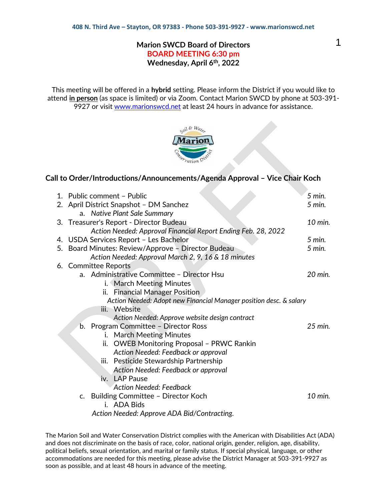## **Marion SWCD Board of Directors BOARD MEETING 6:30 pm Wednesday, April 6th, 2022**

This meeting will be offered in a **hybrid** setting. Please inform the District if you would like to attend **in person** (as space is limited) or via Zoom. Contact Marion SWCD by phone at 503-391- 9927 or visit [www.marionswcd.net](http://www.marionswcd.net/) at least 24 hours in advance for assistance.



## **Call to Order/Introductions/Announcements/Agenda Approval – Vice Chair Koch**

| 1. Public comment - Public                                         | 5 min.  |
|--------------------------------------------------------------------|---------|
| 2. April District Snapshot - DM Sanchez                            | 5 min.  |
| a. Native Plant Sale Summary                                       |         |
| 3. Treasurer's Report - Director Budeau                            | 10 min. |
| Action Needed: Approval Financial Report Ending Feb. 28, 2022      |         |
| 4. USDA Services Report - Les Bachelor                             | 5 min.  |
| 5. Board Minutes: Review/Approve - Director Budeau                 | 5 min.  |
| Action Needed: Approval March 2, 9, 16 & 18 minutes                |         |
| 6. Committee Reports                                               |         |
| a. Administrative Committee - Director Hsu                         | 20 min. |
| i. March Meeting Minutes                                           |         |
| ii. Financial Manager Position                                     |         |
| Action Needed: Adopt new Financial Manager position desc. & salary |         |
| iii. Website                                                       |         |
| Action Needed: Approve website design contract                     |         |
| b. Program Committee - Director Ross                               | 25 min. |
| i. March Meeting Minutes                                           |         |
| ii. OWEB Monitoring Proposal - PRWC Rankin                         |         |
| Action Needed: Feedback or approval                                |         |
| iii. Pesticide Stewardship Partnership                             |         |
| Action Needed: Feedback or approval                                |         |
| iv. LAP Pause                                                      |         |
| Action Needed: Feedback                                            |         |
| c. Building Committee - Director Koch                              | 10 min. |
| i. ADA Bids                                                        |         |
| Action Needed: Approve ADA Bid/Contracting.                        |         |
|                                                                    |         |

The Marion Soil and Water Conservation District complies with the American with Disabilities Act (ADA) and does not discriminate on the basis of race, color, national origin, gender, religion, age, disability, political beliefs, sexual orientation, and marital or family status. If special physical, language, or other accommodations are needed for this meeting, please advise the District Manager at 503-391-9927 as soon as possible, and at least 48 hours in advance of the meeting.